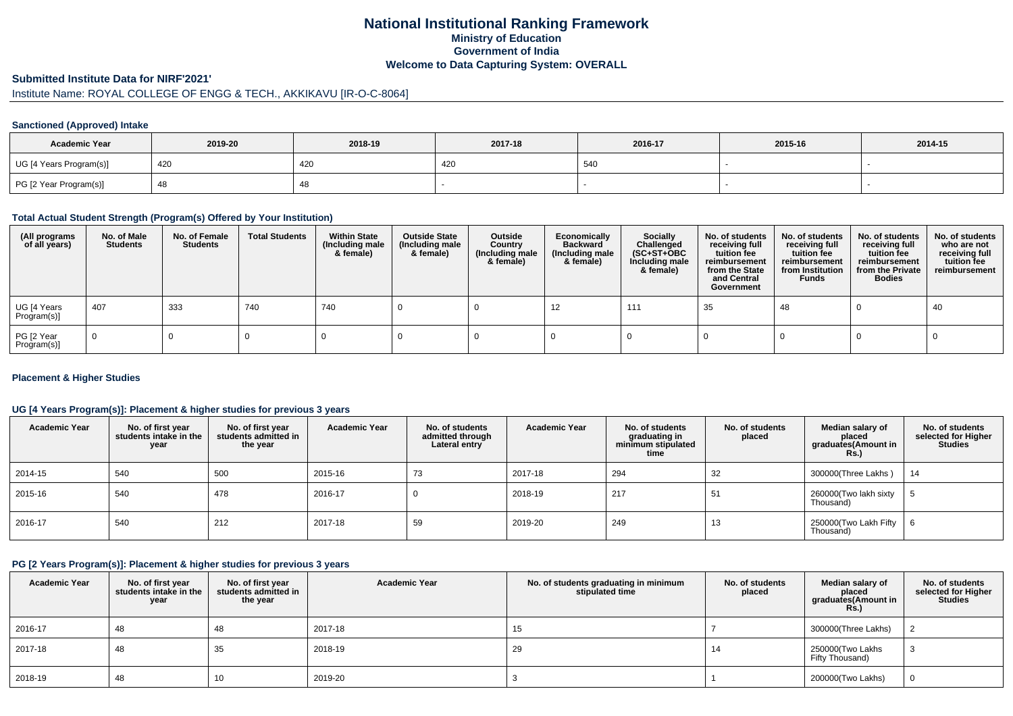# **National Institutional Ranking FrameworkMinistry of Education Government of IndiaWelcome to Data Capturing System: OVERALL**

#### **Submitted Institute Data for NIRF'2021'**

# Institute Name: ROYAL COLLEGE OF ENGG & TECH., AKKIKAVU [IR-O-C-8064]

## **Sanctioned (Approved) Intake**

| <b>Academic Year</b>    | 2019-20 | 2018-19 | 2017-18 | 2016-17 | 2015-16 | 2014-15 |
|-------------------------|---------|---------|---------|---------|---------|---------|
| UG [4 Years Program(s)] | 420     | 420     | 4∠∖     | 540     |         |         |
| PG [2 Year Program(s)]  |         | 40      |         |         |         |         |

## **Total Actual Student Strength (Program(s) Offered by Your Institution)**

| (All programs<br>of all years) | No. of Male<br><b>Students</b> | No. of Female<br>Students | <b>Total Students</b> | <b>Within State</b><br>(Including male<br>& female) | <b>Outside State</b><br>(Including male<br>& female) | Outside<br>Country<br>(Including male<br>& female) | Economically<br><b>Backward</b><br>(Including male<br>& female) | <b>Socially</b><br>Challenged<br>$(SC+ST+OBC)$<br>Including male<br>& female) | No. of students<br>receiving full<br>tuition fee<br>reimbursement<br>from the State<br>and Central<br>Government | No. of students<br>receiving full<br>tuition fee<br>reimbursement<br>from Institution<br><b>Funds</b> | No. of students<br>receiving full<br>tuition fee<br>reimbursement<br>from the Private<br><b>Bodies</b> | No. of students<br>who are not<br>receiving full<br>tuition fee<br>reimbursement |
|--------------------------------|--------------------------------|---------------------------|-----------------------|-----------------------------------------------------|------------------------------------------------------|----------------------------------------------------|-----------------------------------------------------------------|-------------------------------------------------------------------------------|------------------------------------------------------------------------------------------------------------------|-------------------------------------------------------------------------------------------------------|--------------------------------------------------------------------------------------------------------|----------------------------------------------------------------------------------|
| UG [4 Years<br>Program(s)]     | 407                            | 333                       | 740                   | 740                                                 |                                                      |                                                    | 12                                                              | 111                                                                           | 35                                                                                                               | 48                                                                                                    |                                                                                                        | 40                                                                               |
| PG [2 Year<br>Program(s)]      | $\Omega$                       |                           |                       |                                                     |                                                      |                                                    |                                                                 |                                                                               |                                                                                                                  |                                                                                                       |                                                                                                        |                                                                                  |

## **Placement & Higher Studies**

## **UG [4 Years Program(s)]: Placement & higher studies for previous 3 years**

| <b>Academic Year</b> | No. of first year<br>students intake in the<br>year | No. of first year<br>students admitted in<br>the year | <b>Academic Year</b> | No. of students<br>admitted through<br>Lateral entry | <b>Academic Year</b> | No. of students<br>graduating in<br>minimum stipulated<br>time | No. of students<br>placed | Median salary of<br>placed<br>graduates(Amount in<br>Rs. | No. of students<br>selected for Higher<br><b>Studies</b> |
|----------------------|-----------------------------------------------------|-------------------------------------------------------|----------------------|------------------------------------------------------|----------------------|----------------------------------------------------------------|---------------------------|----------------------------------------------------------|----------------------------------------------------------|
| 2014-15              | 540                                                 | 500                                                   | 2015-16              | 73                                                   | 2017-18              | 294                                                            | 32                        | 300000(Three Lakhs)                                      | 14                                                       |
| 2015-16              | 540                                                 | 478                                                   | 2016-17              |                                                      | 2018-19              | 217                                                            | 51                        | 260000(Two lakh sixty<br>Thousand)                       |                                                          |
| 2016-17              | 540                                                 | 212                                                   | 2017-18              | 59                                                   | 2019-20              | 249                                                            | 13                        | 250000(Two Lakh Fifty<br>Thousand)                       | 6                                                        |

## **PG [2 Years Program(s)]: Placement & higher studies for previous 3 years**

| <b>Academic Year</b> | No. of first year<br>students intake in the<br>year | No. of first year<br>students admitted in<br>the year | <b>Academic Year</b> | No. of students graduating in minimum<br>stipulated time | No. of students<br>placed | Median salary of<br>placed<br>graduates(Amount in<br>Rs. | No. of students<br>selected for Higher<br><b>Studies</b> |
|----------------------|-----------------------------------------------------|-------------------------------------------------------|----------------------|----------------------------------------------------------|---------------------------|----------------------------------------------------------|----------------------------------------------------------|
| 2016-17              | 48                                                  | 48                                                    | 2017-18              | 15                                                       |                           | 300000(Three Lakhs)                                      |                                                          |
| 2017-18              | 48                                                  | 35                                                    | 2018-19              | 29                                                       | 14                        | 250000(Two Lakhs<br>Fifty Thousand)                      |                                                          |
| 2018-19              | 48                                                  | 10                                                    | 2019-20              |                                                          |                           | 200000(Two Lakhs)                                        | $\Omega$                                                 |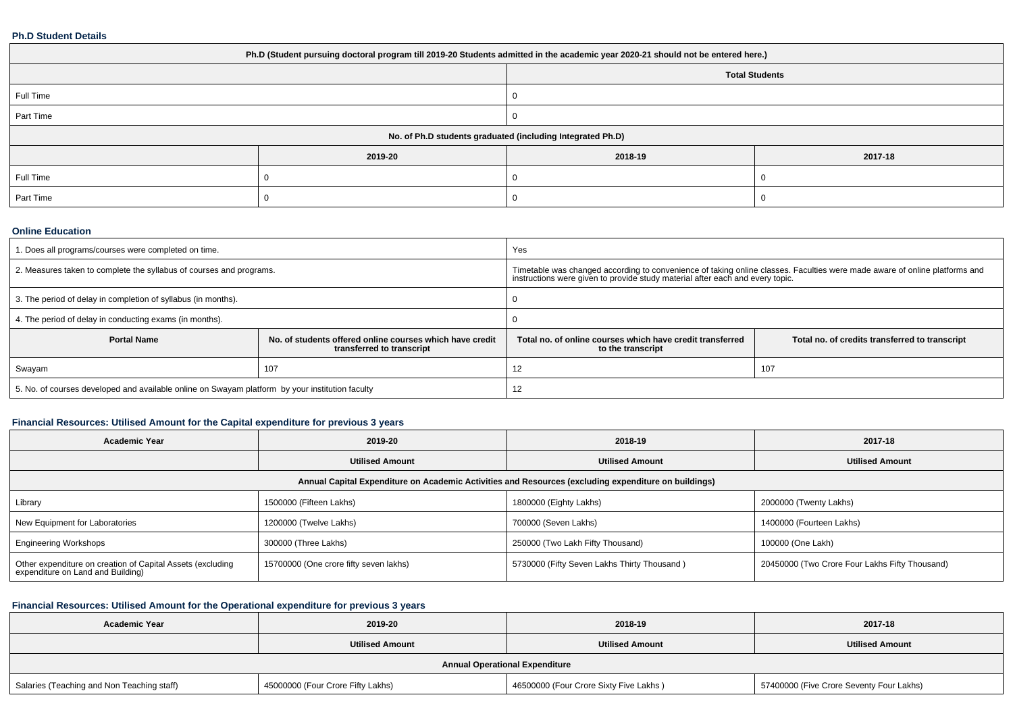## **Ph.D Student Details**

| Ph.D (Student pursuing doctoral program till 2019-20 Students admitted in the academic year 2020-21 should not be entered here.) |         |         |         |  |  |
|----------------------------------------------------------------------------------------------------------------------------------|---------|---------|---------|--|--|
| <b>Total Students</b>                                                                                                            |         |         |         |  |  |
| Full Time                                                                                                                        |         |         |         |  |  |
| Part Time                                                                                                                        |         |         |         |  |  |
| No. of Ph.D students graduated (including Integrated Ph.D)                                                                       |         |         |         |  |  |
|                                                                                                                                  | 2019-20 | 2018-19 | 2017-18 |  |  |
| Full Time                                                                                                                        |         |         |         |  |  |
| Part Time                                                                                                                        |         |         |         |  |  |

#### **Online Education**

| . Does all programs/courses were completed on time.                                             |                                                                                       | Yes                                                                                                                                                                                                         |                                                |  |
|-------------------------------------------------------------------------------------------------|---------------------------------------------------------------------------------------|-------------------------------------------------------------------------------------------------------------------------------------------------------------------------------------------------------------|------------------------------------------------|--|
| 2. Measures taken to complete the syllabus of courses and programs.                             |                                                                                       | Timetable was changed according to convenience of taking online classes. Faculties were made aware of online platforms and<br>instructions were given to provide study material after each and every topic. |                                                |  |
| 3. The period of delay in completion of syllabus (in months).                                   |                                                                                       |                                                                                                                                                                                                             |                                                |  |
| 4. The period of delay in conducting exams (in months).                                         |                                                                                       |                                                                                                                                                                                                             |                                                |  |
| <b>Portal Name</b>                                                                              | No. of students offered online courses which have credit<br>transferred to transcript | Total no, of online courses which have credit transferred<br>to the transcript                                                                                                                              | Total no. of credits transferred to transcript |  |
| Swayam                                                                                          | 107                                                                                   | ے ا                                                                                                                                                                                                         | 107                                            |  |
| 5. No. of courses developed and available online on Swayam platform by your institution faculty |                                                                                       | 12                                                                                                                                                                                                          |                                                |  |

## **Financial Resources: Utilised Amount for the Capital expenditure for previous 3 years**

| <b>Academic Year</b>                                                                                 | 2019-20                                | 2018-19                                     | 2017-18                                        |  |  |  |  |
|------------------------------------------------------------------------------------------------------|----------------------------------------|---------------------------------------------|------------------------------------------------|--|--|--|--|
|                                                                                                      | <b>Utilised Amount</b>                 | <b>Utilised Amount</b>                      | <b>Utilised Amount</b>                         |  |  |  |  |
| Annual Capital Expenditure on Academic Activities and Resources (excluding expenditure on buildings) |                                        |                                             |                                                |  |  |  |  |
| Library                                                                                              | 1500000 (Fifteen Lakhs)                | 1800000 (Eighty Lakhs)                      | 2000000 (Twenty Lakhs)                         |  |  |  |  |
| New Equipment for Laboratories                                                                       | 1200000 (Twelve Lakhs)                 | 700000 (Seven Lakhs)                        | 1400000 (Fourteen Lakhs)                       |  |  |  |  |
| <b>Engineering Workshops</b>                                                                         | 300000 (Three Lakhs)                   | 250000 (Two Lakh Fifty Thousand)            | 100000 (One Lakh)                              |  |  |  |  |
| Other expenditure on creation of Capital Assets (excluding<br>expenditure on Land and Building)      | 15700000 (One crore fifty seven lakhs) | 5730000 (Fifty Seven Lakhs Thirty Thousand) | 20450000 (Two Crore Four Lakhs Fifty Thousand) |  |  |  |  |

## **Financial Resources: Utilised Amount for the Operational expenditure for previous 3 years**

| <b>Academic Year</b>                       | 2019-20                           | 2018-19                                | 2017-18                                  |  |  |  |  |
|--------------------------------------------|-----------------------------------|----------------------------------------|------------------------------------------|--|--|--|--|
|                                            | <b>Utilised Amount</b>            | <b>Utilised Amount</b>                 | <b>Utilised Amount</b>                   |  |  |  |  |
| <b>Annual Operational Expenditure</b>      |                                   |                                        |                                          |  |  |  |  |
| Salaries (Teaching and Non Teaching staff) | 45000000 (Four Crore Fifty Lakhs) | 46500000 (Four Crore Sixty Five Lakhs) | 57400000 (Five Crore Seventy Four Lakhs) |  |  |  |  |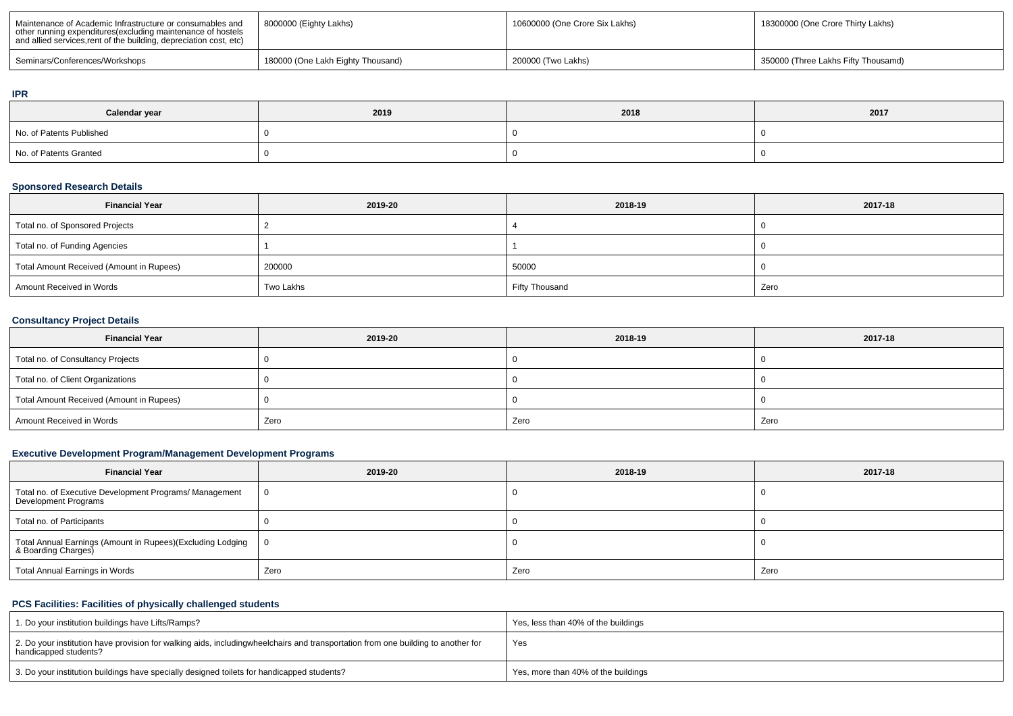| Maintenance of Academic Infrastructure or consumables and<br>other running expenditures (excluding maintenance of hostels<br>and allied services, rent of the building, depreciation cost, etc) | 8000000 (Eighty Lakhs)            | 10600000 (One Crore Six Lakhs) | 18300000 (One Crore Thirty Lakhs)   |
|-------------------------------------------------------------------------------------------------------------------------------------------------------------------------------------------------|-----------------------------------|--------------------------------|-------------------------------------|
| Seminars/Conferences/Workshops                                                                                                                                                                  | 180000 (One Lakh Eighty Thousand) | 200000 (Two Lakhs)             | 350000 (Three Lakhs Fifty Thousamd) |

#### **IPR**

| Calendar year            | 2019 | 2018 | 2017 |
|--------------------------|------|------|------|
| No. of Patents Published |      |      |      |
| No. of Patents Granted   |      |      |      |

## **Sponsored Research Details**

| <b>Financial Year</b>                    | 2019-20   | 2018-19        | 2017-18 |
|------------------------------------------|-----------|----------------|---------|
| Total no. of Sponsored Projects          |           |                |         |
| Total no. of Funding Agencies            |           |                |         |
| Total Amount Received (Amount in Rupees) | 200000    | 50000          |         |
| Amount Received in Words                 | Two Lakhs | Fifty Thousand | Zero    |

## **Consultancy Project Details**

| <b>Financial Year</b>                    | 2019-20 | 2018-19 | 2017-18 |
|------------------------------------------|---------|---------|---------|
| Total no. of Consultancy Projects        |         |         |         |
| Total no. of Client Organizations        |         |         |         |
| Total Amount Received (Amount in Rupees) |         |         |         |
| Amount Received in Words                 | Zero    | Zero    | Zero    |

## **Executive Development Program/Management Development Programs**

| <b>Financial Year</b>                                                             | 2019-20 | 2018-19 | 2017-18 |  |
|-----------------------------------------------------------------------------------|---------|---------|---------|--|
| Total no. of Executive Development Programs/ Management<br>Development Programs   |         |         |         |  |
| Total no. of Participants                                                         |         |         |         |  |
| Total Annual Earnings (Amount in Rupees)(Excluding Lodging<br>& Boarding Charges) | 0       |         |         |  |
| Total Annual Earnings in Words                                                    | Zero    | Zero    | Zero    |  |

## **PCS Facilities: Facilities of physically challenged students**

| 1. Do your institution buildings have Lifts/Ramps?                                                                                                        | Yes, less than 40% of the buildings |
|-----------------------------------------------------------------------------------------------------------------------------------------------------------|-------------------------------------|
| 2. Do your institution have provision for walking aids, includingwheelchairs and transportation from one building to another for<br>handicapped students? | Yes                                 |
| 3. Do your institution buildings have specially designed toilets for handicapped students?                                                                | Yes, more than 40% of the buildings |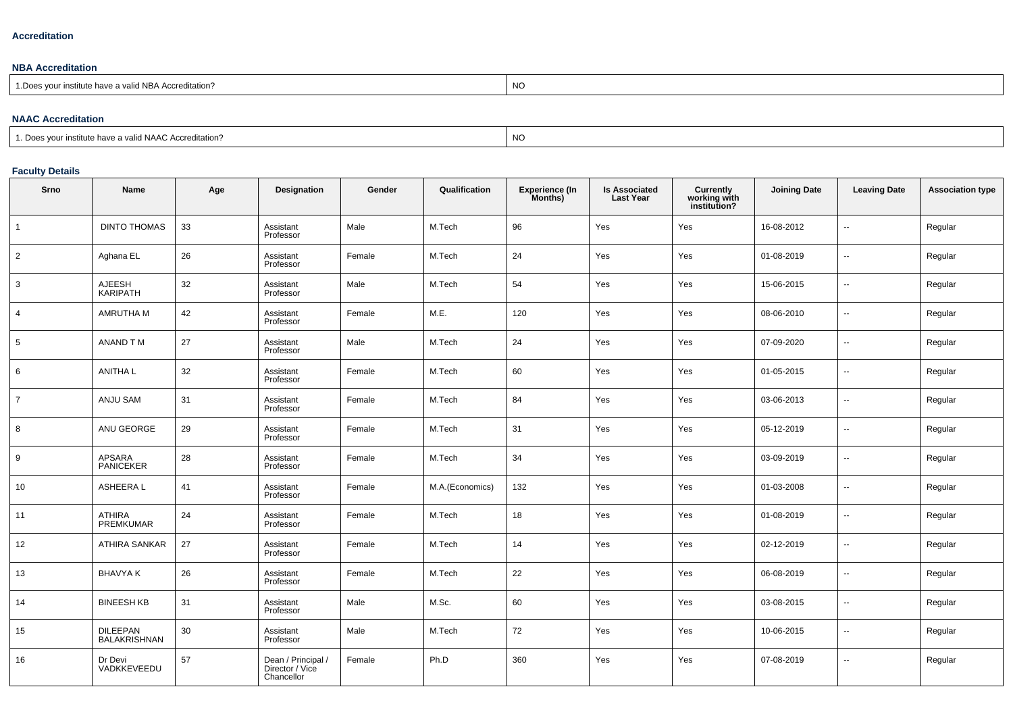## **Accreditation**

## **NBA Accreditation**

| institute have a valid NBA Accreditation?<br>N/C<br>$n_{\rm A}$<br>vu.<br>ں 1<br> |  |
|-----------------------------------------------------------------------------------|--|
|-----------------------------------------------------------------------------------|--|

## **NAAC Accreditation**

| $\Gamma$<br>a valid NAAC Accreditation?<br>11011<br>≅ institute n.<br>nave a | N<br><b>INC.</b> |
|------------------------------------------------------------------------------|------------------|
|------------------------------------------------------------------------------|------------------|

# **Faculty Details**

| Srno           | <b>Name</b>                       | Age | Designation                                       | Gender | Qualification   | <b>Experience (In</b><br>Months) | <b>Is Associated</b><br><b>Last Year</b> | <b>Currently<br/>working with<br/>institution?</b> | <b>Joining Date</b> | <b>Leaving Date</b>      | <b>Association type</b> |
|----------------|-----------------------------------|-----|---------------------------------------------------|--------|-----------------|----------------------------------|------------------------------------------|----------------------------------------------------|---------------------|--------------------------|-------------------------|
| $\overline{1}$ | <b>DINTO THOMAS</b>               | 33  | Assistant<br>Professor                            | Male   | M.Tech          | 96                               | Yes                                      | Yes                                                | 16-08-2012          | $\sim$                   | Regular                 |
| 2              | Aghana EL                         | 26  | Assistant<br>Professor                            | Female | M.Tech          | 24                               | Yes                                      | Yes                                                | 01-08-2019          | $\overline{\phantom{a}}$ | Regular                 |
| 3              | AJEESH<br>KARIPATH                | 32  | Assistant<br>Professor                            | Male   | M.Tech          | 54                               | Yes                                      | Yes                                                | 15-06-2015          | $\overline{\phantom{a}}$ | Regular                 |
| $\overline{4}$ | AMRUTHA M                         | 42  | Assistant<br>Professor                            | Female | M.E.            | 120                              | Yes                                      | Yes                                                | 08-06-2010          | $\sim$                   | Regular                 |
| 5              | ANAND TM                          | 27  | Assistant<br>Professor                            | Male   | M.Tech          | 24                               | Yes                                      | Yes                                                | 07-09-2020          | $\sim$                   | Regular                 |
| 6              | <b>ANITHA L</b>                   | 32  | Assistant<br>Professor                            | Female | M.Tech          | 60                               | Yes                                      | Yes                                                | 01-05-2015          | $\sim$                   | Regular                 |
| $\overline{7}$ | <b>ANJU SAM</b>                   | 31  | Assistant<br>Professor                            | Female | M.Tech          | 84                               | Yes                                      | Yes                                                | 03-06-2013          | $\sim$                   | Regular                 |
| 8              | ANU GEORGE                        | 29  | Assistant<br>Professor                            | Female | M.Tech          | 31                               | Yes                                      | Yes                                                | 05-12-2019          | $\overline{\phantom{a}}$ | Regular                 |
| 9              | APSARA<br>PANICEKER               | 28  | Assistant<br>Professor                            | Female | M.Tech          | 34                               | Yes                                      | Yes                                                | 03-09-2019          | $\overline{\phantom{a}}$ | Regular                 |
| 10             | ASHEERA L                         | 41  | Assistant<br>Professor                            | Female | M.A.(Economics) | 132                              | Yes                                      | Yes                                                | 01-03-2008          | $\overline{\phantom{a}}$ | Regular                 |
| 11             | <b>ATHIRA</b><br><b>PREMKUMAR</b> | 24  | Assistant<br>Professor                            | Female | M.Tech          | 18                               | Yes                                      | Yes                                                | 01-08-2019          | $\overline{\phantom{a}}$ | Regular                 |
| 12             | ATHIRA SANKAR                     | 27  | Assistant<br>Professor                            | Female | M.Tech          | 14                               | Yes                                      | Yes                                                | 02-12-2019          | $\overline{\phantom{a}}$ | Regular                 |
| 13             | <b>BHAVYAK</b>                    | 26  | Assistant<br>Professor                            | Female | M.Tech          | 22                               | Yes                                      | Yes                                                | 06-08-2019          | $\sim$                   | Regular                 |
| 14             | <b>BINEESH KB</b>                 | 31  | Assistant<br>Professor                            | Male   | M.Sc.           | 60                               | Yes                                      | Yes                                                | 03-08-2015          | $\overline{\phantom{a}}$ | Regular                 |
| 15             | DILEEPAN<br>BALAKRISHNAN          | 30  | Assistant<br>Professor                            | Male   | M.Tech          | 72                               | Yes                                      | Yes                                                | 10-06-2015          | $\overline{\phantom{a}}$ | Regular                 |
| 16             | Dr Devi<br>VADKKEVEEDU            | 57  | Dean / Principal<br>Director / Vice<br>Chancellor | Female | Ph.D            | 360                              | Yes                                      | Yes                                                | 07-08-2019          | $\overline{\phantom{a}}$ | Regular                 |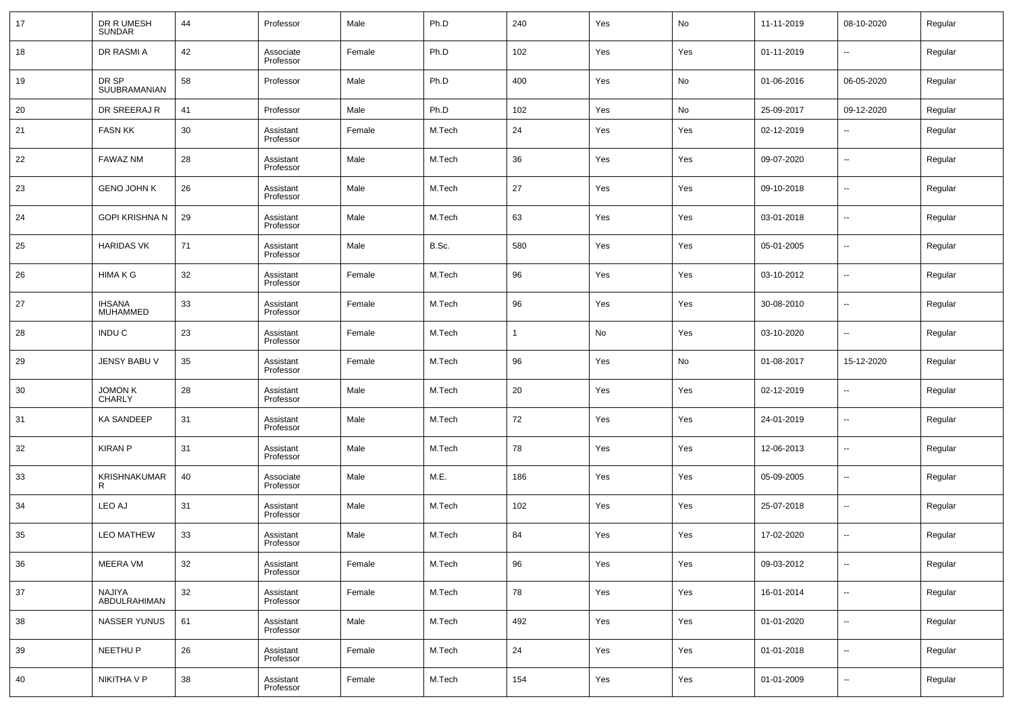| 17 | DR R UMESH<br><b>SUNDAR</b>      | 44 | Professor              | Male   | Ph.D   | 240 | Yes | No  | 11-11-2019 | 08-10-2020               | Regular |
|----|----------------------------------|----|------------------------|--------|--------|-----|-----|-----|------------|--------------------------|---------|
| 18 | DR RASMI A                       | 42 | Associate<br>Professor | Female | Ph.D   | 102 | Yes | Yes | 01-11-2019 | $\overline{\phantom{a}}$ | Regular |
| 19 | DR SP<br>SUUBRAMANIAN            | 58 | Professor              | Male   | Ph.D   | 400 | Yes | No  | 01-06-2016 | 06-05-2020               | Regular |
| 20 | DR SREERAJ R                     | 41 | Professor              | Male   | Ph.D   | 102 | Yes | No  | 25-09-2017 | 09-12-2020               | Regular |
| 21 | <b>FASN KK</b>                   | 30 | Assistant<br>Professor | Female | M.Tech | 24  | Yes | Yes | 02-12-2019 | $\sim$                   | Regular |
| 22 | FAWAZ NM                         | 28 | Assistant<br>Professor | Male   | M.Tech | 36  | Yes | Yes | 09-07-2020 | ۰.                       | Regular |
| 23 | <b>GENO JOHN K</b>               | 26 | Assistant<br>Professor | Male   | M.Tech | 27  | Yes | Yes | 09-10-2018 | $\sim$                   | Regular |
| 24 | <b>GOPI KRISHNA N</b>            | 29 | Assistant<br>Professor | Male   | M.Tech | 63  | Yes | Yes | 03-01-2018 | $\overline{\phantom{a}}$ | Regular |
| 25 | <b>HARIDAS VK</b>                | 71 | Assistant<br>Professor | Male   | B.Sc.  | 580 | Yes | Yes | 05-01-2005 | $\sim$                   | Regular |
| 26 | <b>HIMAKG</b>                    | 32 | Assistant<br>Professor | Female | M.Tech | 96  | Yes | Yes | 03-10-2012 | $\sim$                   | Regular |
| 27 | <b>IHSANA</b><br><b>MUHAMMED</b> | 33 | Assistant<br>Professor | Female | M.Tech | 96  | Yes | Yes | 30-08-2010 | $\sim$                   | Regular |
| 28 | INDU C                           | 23 | Assistant<br>Professor | Female | M.Tech |     | No  | Yes | 03-10-2020 | $\sim$                   | Regular |
| 29 | JENSY BABU V                     | 35 | Assistant<br>Professor | Female | M.Tech | 96  | Yes | No  | 01-08-2017 | 15-12-2020               | Regular |
| 30 | JOMON K<br>CHARLY                | 28 | Assistant<br>Professor | Male   | M.Tech | 20  | Yes | Yes | 02-12-2019 | $\sim$                   | Regular |
| 31 | <b>KA SANDEEP</b>                | 31 | Assistant<br>Professor | Male   | M.Tech | 72  | Yes | Yes | 24-01-2019 | $\overline{\phantom{a}}$ | Regular |
| 32 | <b>KIRAN P</b>                   | 31 | Assistant<br>Professor | Male   | M.Tech | 78  | Yes | Yes | 12-06-2013 | $\sim$                   | Regular |
| 33 | KRISHNAKUMAR<br>R                | 40 | Associate<br>Professor | Male   | M.E.   | 186 | Yes | Yes | 05-09-2005 | $\sim$                   | Regular |
| 34 | LEO AJ                           | 31 | Assistant<br>Professor | Male   | M.Tech | 102 | Yes | Yes | 25-07-2018 | $\sim$                   | Regular |
| 35 | <b>LEO MATHEW</b>                | 33 | Assistant<br>Professor | Male   | M.Tech | 84  | Yes | Yes | 17-02-2020 | $\sim$                   | Regular |
| 36 | MEERA VM                         | 32 | Assistant<br>Professor | Female | M.Tech | 96  | Yes | Yes | 09-03-2012 | $\sim$                   | Regular |
| 37 | NAJIYA<br>ABDULRAHIMAN           | 32 | Assistant<br>Professor | Female | M.Tech | 78  | Yes | Yes | 16-01-2014 | $\overline{\phantom{a}}$ | Regular |
| 38 | <b>NASSER YUNUS</b>              | 61 | Assistant<br>Professor | Male   | M.Tech | 492 | Yes | Yes | 01-01-2020 | $\overline{\phantom{a}}$ | Regular |
| 39 | NEETHU P                         | 26 | Assistant<br>Professor | Female | M.Tech | 24  | Yes | Yes | 01-01-2018 | $\overline{\phantom{a}}$ | Regular |
| 40 | NIKITHA V P                      | 38 | Assistant<br>Professor | Female | M.Tech | 154 | Yes | Yes | 01-01-2009 | $\overline{\phantom{a}}$ | Regular |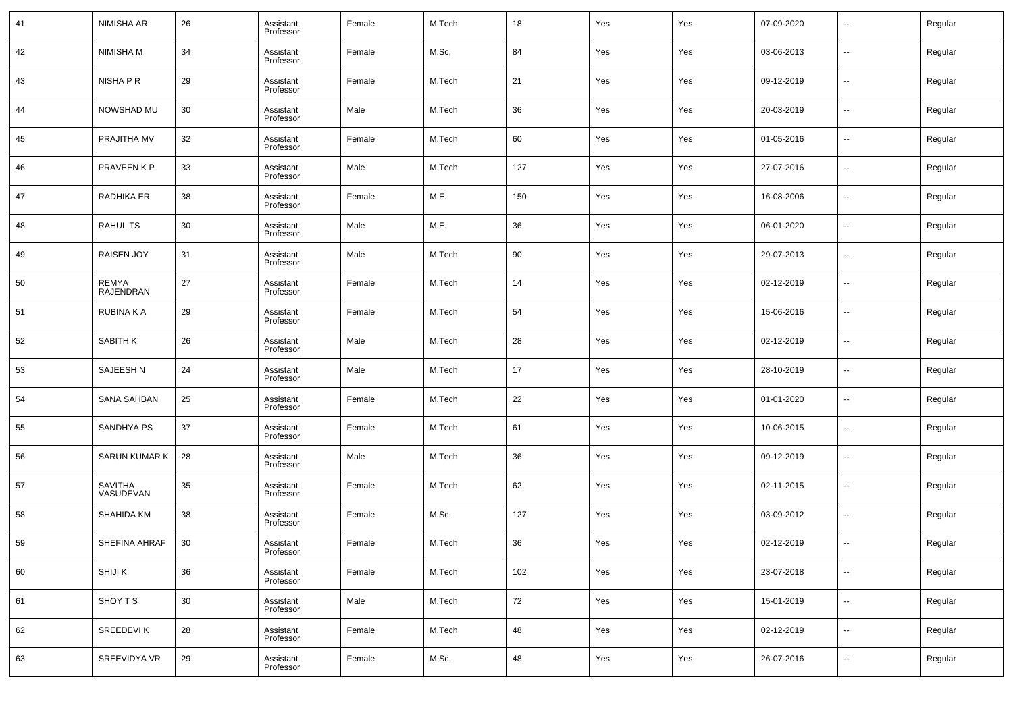| 41 | NIMISHA AR                  | 26 | Assistant<br>Professor | Female | M.Tech | 18  | Yes | Yes | 07-09-2020 | $\overline{\phantom{a}}$ | Regular |
|----|-----------------------------|----|------------------------|--------|--------|-----|-----|-----|------------|--------------------------|---------|
| 42 | NIMISHA M                   | 34 | Assistant<br>Professor | Female | M.Sc.  | 84  | Yes | Yes | 03-06-2013 | $\overline{\phantom{a}}$ | Regular |
| 43 | NISHA P R                   | 29 | Assistant<br>Professor | Female | M.Tech | 21  | Yes | Yes | 09-12-2019 | $\sim$                   | Regular |
| 44 | NOWSHAD MU                  | 30 | Assistant<br>Professor | Male   | M.Tech | 36  | Yes | Yes | 20-03-2019 | $\overline{\phantom{a}}$ | Regular |
| 45 | PRAJITHA MV                 | 32 | Assistant<br>Professor | Female | M.Tech | 60  | Yes | Yes | 01-05-2016 | $\overline{\phantom{a}}$ | Regular |
| 46 | PRAVEEN K P                 | 33 | Assistant<br>Professor | Male   | M.Tech | 127 | Yes | Yes | 27-07-2016 | $\overline{\phantom{a}}$ | Regular |
| 47 | RADHIKA ER                  | 38 | Assistant<br>Professor | Female | M.E.   | 150 | Yes | Yes | 16-08-2006 | --                       | Regular |
| 48 | <b>RAHUL TS</b>             | 30 | Assistant<br>Professor | Male   | M.E.   | 36  | Yes | Yes | 06-01-2020 | --                       | Regular |
| 49 | <b>RAISEN JOY</b>           | 31 | Assistant<br>Professor | Male   | M.Tech | 90  | Yes | Yes | 29-07-2013 | --                       | Regular |
| 50 | <b>REMYA</b><br>RAJENDRAN   | 27 | Assistant<br>Professor | Female | M.Tech | 14  | Yes | Yes | 02-12-2019 | $\overline{\phantom{a}}$ | Regular |
| 51 | RUBINA K A                  | 29 | Assistant<br>Professor | Female | M.Tech | 54  | Yes | Yes | 15-06-2016 | --                       | Regular |
| 52 | SABITH K                    | 26 | Assistant<br>Professor | Male   | M.Tech | 28  | Yes | Yes | 02-12-2019 | --                       | Regular |
| 53 | SAJEESH N                   | 24 | Assistant<br>Professor | Male   | M.Tech | 17  | Yes | Yes | 28-10-2019 | --                       | Regular |
| 54 | <b>SANA SAHBAN</b>          | 25 | Assistant<br>Professor | Female | M.Tech | 22  | Yes | Yes | 01-01-2020 | --                       | Regular |
| 55 | SANDHYA PS                  | 37 | Assistant<br>Professor | Female | M.Tech | 61  | Yes | Yes | 10-06-2015 | --                       | Regular |
| 56 | <b>SARUN KUMAR K</b>        | 28 | Assistant<br>Professor | Male   | M.Tech | 36  | Yes | Yes | 09-12-2019 | --                       | Regular |
| 57 | <b>SAVITHA</b><br>VASUDEVAN | 35 | Assistant<br>Professor | Female | M.Tech | 62  | Yes | Yes | 02-11-2015 | --                       | Regular |
| 58 | SHAHIDA KM                  | 38 | Assistant<br>Professor | Female | M.Sc.  | 127 | Yes | Yes | 03-09-2012 | --                       | Regular |
| 59 | SHEFINA AHRAF               | 30 | Assistant<br>Professor | Female | M.Tech | 36  | Yes | Yes | 02-12-2019 | $\overline{\phantom{a}}$ | Regular |
| 60 | SHIJI K                     | 36 | Assistant<br>Professor | Female | M.Tech | 102 | Yes | Yes | 23-07-2018 | $\overline{\phantom{a}}$ | Regular |
| 61 | SHOY T S                    | 30 | Assistant<br>Professor | Male   | M.Tech | 72  | Yes | Yes | 15-01-2019 | $\sim$                   | Regular |
| 62 | SREEDEVI K                  | 28 | Assistant<br>Professor | Female | M.Tech | 48  | Yes | Yes | 02-12-2019 | $\overline{\phantom{a}}$ | Regular |
| 63 | SREEVIDYA VR                | 29 | Assistant<br>Professor | Female | M.Sc.  | 48  | Yes | Yes | 26-07-2016 | $\sim$                   | Regular |